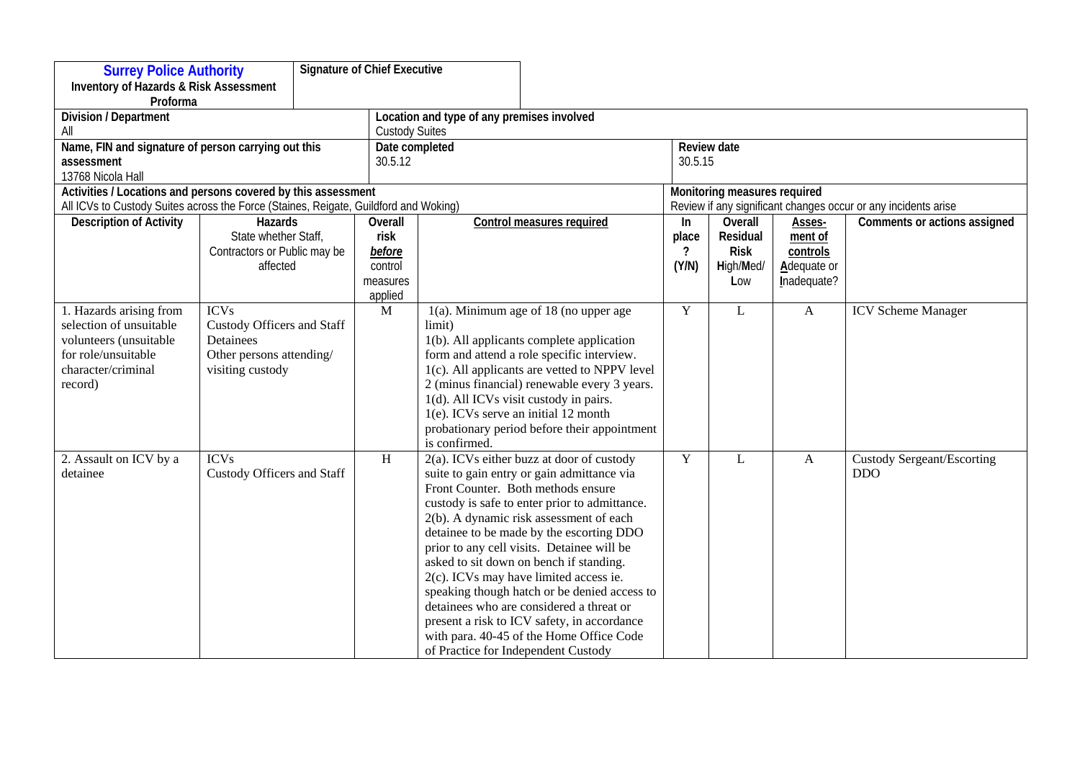| <b>Signature of Chief Executive</b><br><b>Surrey Police Authority</b>                |                                   |  |              |                                              |                                                                                          |                                                                |             |              |                                   |  |
|--------------------------------------------------------------------------------------|-----------------------------------|--|--------------|----------------------------------------------|------------------------------------------------------------------------------------------|----------------------------------------------------------------|-------------|--------------|-----------------------------------|--|
| <b>Inventory of Hazards &amp; Risk Assessment</b>                                    |                                   |  |              |                                              |                                                                                          |                                                                |             |              |                                   |  |
| Proforma                                                                             |                                   |  |              |                                              |                                                                                          |                                                                |             |              |                                   |  |
| Division / Department                                                                |                                   |  |              | Location and type of any premises involved   |                                                                                          |                                                                |             |              |                                   |  |
| All                                                                                  |                                   |  |              | <b>Custody Suites</b>                        |                                                                                          |                                                                |             |              |                                   |  |
| Name, FIN and signature of person carrying out this                                  |                                   |  |              | Date completed                               |                                                                                          |                                                                | Review date |              |                                   |  |
| assessment                                                                           |                                   |  |              | 30.5.12                                      |                                                                                          |                                                                | 30.5.15     |              |                                   |  |
| 13768 Nicola Hall                                                                    |                                   |  |              |                                              |                                                                                          |                                                                |             |              |                                   |  |
| Activities / Locations and persons covered by this assessment                        |                                   |  |              |                                              |                                                                                          | Monitoring measures required                                   |             |              |                                   |  |
| All ICVs to Custody Suites across the Force (Staines, Reigate, Guildford and Woking) |                                   |  |              |                                              |                                                                                          | Review if any significant changes occur or any incidents arise |             |              |                                   |  |
| <b>Description of Activity</b>                                                       | Hazards                           |  | Overall      |                                              | <b>Control measures required</b>                                                         | In                                                             | Overall     | Asses-       | Comments or actions assigned      |  |
|                                                                                      | State whether Staff,              |  | risk         |                                              |                                                                                          | place                                                          | Residual    | ment of      |                                   |  |
|                                                                                      | Contractors or Public may be      |  | before       |                                              |                                                                                          | $\overline{?}$                                                 | <b>Risk</b> | controls     |                                   |  |
|                                                                                      | affected                          |  | control      |                                              |                                                                                          | (Y/N)                                                          | High/Med/   | Adequate or  |                                   |  |
|                                                                                      |                                   |  | measures     |                                              |                                                                                          |                                                                | Low         | Inadequate?  |                                   |  |
|                                                                                      |                                   |  | applied      |                                              |                                                                                          |                                                                |             |              |                                   |  |
| 1. Hazards arising from                                                              | <b>ICVs</b>                       |  | M            |                                              | $1(a)$ . Minimum age of 18 (no upper age                                                 | Y                                                              | L           | A            | <b>ICV</b> Scheme Manager         |  |
| selection of unsuitable                                                              | <b>Custody Officers and Staff</b> |  |              | limit)                                       |                                                                                          |                                                                |             |              |                                   |  |
| volunteers (unsuitable                                                               | Detainees                         |  |              |                                              | 1(b). All applicants complete application                                                |                                                                |             |              |                                   |  |
| for role/unsuitable                                                                  | Other persons attending/          |  |              |                                              | form and attend a role specific interview.                                               |                                                                |             |              |                                   |  |
| character/criminal                                                                   | visiting custody                  |  |              |                                              | 1(c). All applicants are vetted to NPPV level                                            |                                                                |             |              |                                   |  |
| record)                                                                              |                                   |  |              |                                              | 2 (minus financial) renewable every 3 years.                                             |                                                                |             |              |                                   |  |
|                                                                                      |                                   |  |              | 1(d). All ICVs visit custody in pairs.       |                                                                                          |                                                                |             |              |                                   |  |
|                                                                                      |                                   |  |              | 1(e). ICVs serve an initial 12 month         |                                                                                          |                                                                |             |              |                                   |  |
|                                                                                      |                                   |  |              |                                              | probationary period before their appointment                                             |                                                                |             |              |                                   |  |
|                                                                                      |                                   |  |              | is confirmed.                                |                                                                                          |                                                                |             |              |                                   |  |
| 2. Assault on ICV by a                                                               | <b>ICVs</b>                       |  | $\, {\rm H}$ |                                              | 2(a). ICVs either buzz at door of custody                                                | $\mathbf Y$                                                    | L           | $\mathbf{A}$ | <b>Custody Sergeant/Escorting</b> |  |
| detainee                                                                             | Custody Officers and Staff        |  |              |                                              | suite to gain entry or gain admittance via                                               |                                                                |             |              | <b>DDO</b>                        |  |
|                                                                                      |                                   |  |              |                                              | Front Counter. Both methods ensure                                                       |                                                                |             |              |                                   |  |
|                                                                                      |                                   |  |              |                                              | custody is safe to enter prior to admittance.<br>2(b). A dynamic risk assessment of each |                                                                |             |              |                                   |  |
|                                                                                      |                                   |  |              |                                              | detainee to be made by the escorting DDO                                                 |                                                                |             |              |                                   |  |
|                                                                                      |                                   |  |              |                                              | prior to any cell visits. Detainee will be                                               |                                                                |             |              |                                   |  |
|                                                                                      |                                   |  |              |                                              | asked to sit down on bench if standing.                                                  |                                                                |             |              |                                   |  |
|                                                                                      |                                   |  |              |                                              | 2(c). ICVs may have limited access ie.                                                   |                                                                |             |              |                                   |  |
|                                                                                      |                                   |  |              | speaking though hatch or be denied access to |                                                                                          |                                                                |             |              |                                   |  |
|                                                                                      |                                   |  |              | detainees who are considered a threat or     |                                                                                          |                                                                |             |              |                                   |  |
|                                                                                      |                                   |  |              |                                              | present a risk to ICV safety, in accordance                                              |                                                                |             |              |                                   |  |
|                                                                                      |                                   |  |              |                                              | with para. 40-45 of the Home Office Code                                                 |                                                                |             |              |                                   |  |
|                                                                                      |                                   |  |              | of Practice for Independent Custody          |                                                                                          |                                                                |             |              |                                   |  |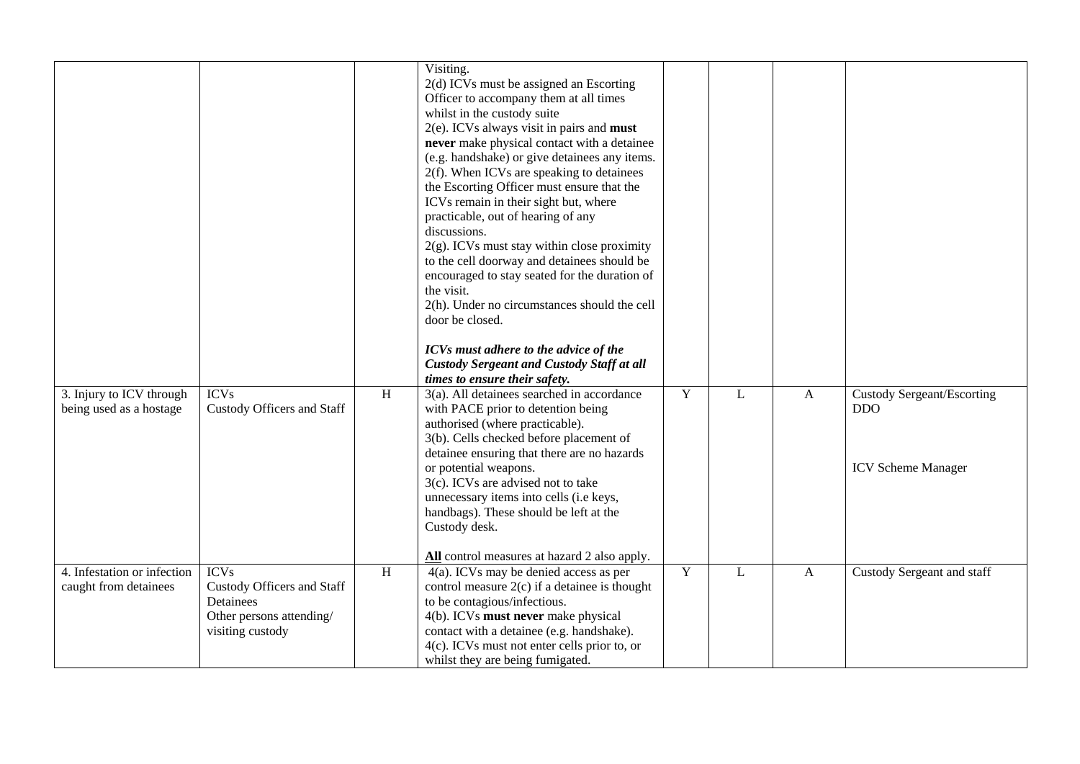| 3. Injury to ICV through<br>being used as a hostage  | <b>ICVs</b><br><b>Custody Officers and Staff</b>                                                       | $\, {\rm H}$ | Visiting.<br>2(d) ICVs must be assigned an Escorting<br>Officer to accompany them at all times<br>whilst in the custody suite<br>$2(e)$ . ICVs always visit in pairs and <b>must</b><br>never make physical contact with a detainee<br>(e.g. handshake) or give detainees any items.<br>$2(f)$ . When ICVs are speaking to detainees<br>the Escorting Officer must ensure that the<br>ICVs remain in their sight but, where<br>practicable, out of hearing of any<br>discussions.<br>$2(g)$ . ICVs must stay within close proximity<br>to the cell doorway and detainees should be<br>encouraged to stay seated for the duration of<br>the visit.<br>2(h). Under no circumstances should the cell<br>door be closed.<br>ICVs must adhere to the advice of the<br><b>Custody Sergeant and Custody Staff at all</b><br>times to ensure their safety.<br>3(a). All detainees searched in accordance<br>with PACE prior to detention being | Y | L            | A | <b>Custody Sergeant/Escorting</b><br><b>DDO</b> |
|------------------------------------------------------|--------------------------------------------------------------------------------------------------------|--------------|----------------------------------------------------------------------------------------------------------------------------------------------------------------------------------------------------------------------------------------------------------------------------------------------------------------------------------------------------------------------------------------------------------------------------------------------------------------------------------------------------------------------------------------------------------------------------------------------------------------------------------------------------------------------------------------------------------------------------------------------------------------------------------------------------------------------------------------------------------------------------------------------------------------------------------------|---|--------------|---|-------------------------------------------------|
|                                                      |                                                                                                        |              | authorised (where practicable).<br>3(b). Cells checked before placement of<br>detainee ensuring that there are no hazards<br>or potential weapons.<br>3(c). ICVs are advised not to take<br>unnecessary items into cells (i.e keys,<br>handbags). These should be left at the<br>Custody desk.<br>All control measures at hazard 2 also apply.                                                                                                                                                                                                                                                                                                                                                                                                                                                                                                                                                                                         |   |              |   | <b>ICV Scheme Manager</b>                       |
| 4. Infestation or infection<br>caught from detainees | <b>ICVs</b><br>Custody Officers and Staff<br>Detainees<br>Other persons attending/<br>visiting custody | $\, {\rm H}$ | 4(a). ICVs may be denied access as per<br>control measure $2(c)$ if a detainee is thought<br>to be contagious/infectious.<br>4(b). ICVs must never make physical<br>contact with a detainee (e.g. handshake).<br>4(c). ICVs must not enter cells prior to, or<br>whilst they are being fumigated.                                                                                                                                                                                                                                                                                                                                                                                                                                                                                                                                                                                                                                      | Y | $\mathbf{L}$ | A | Custody Sergeant and staff                      |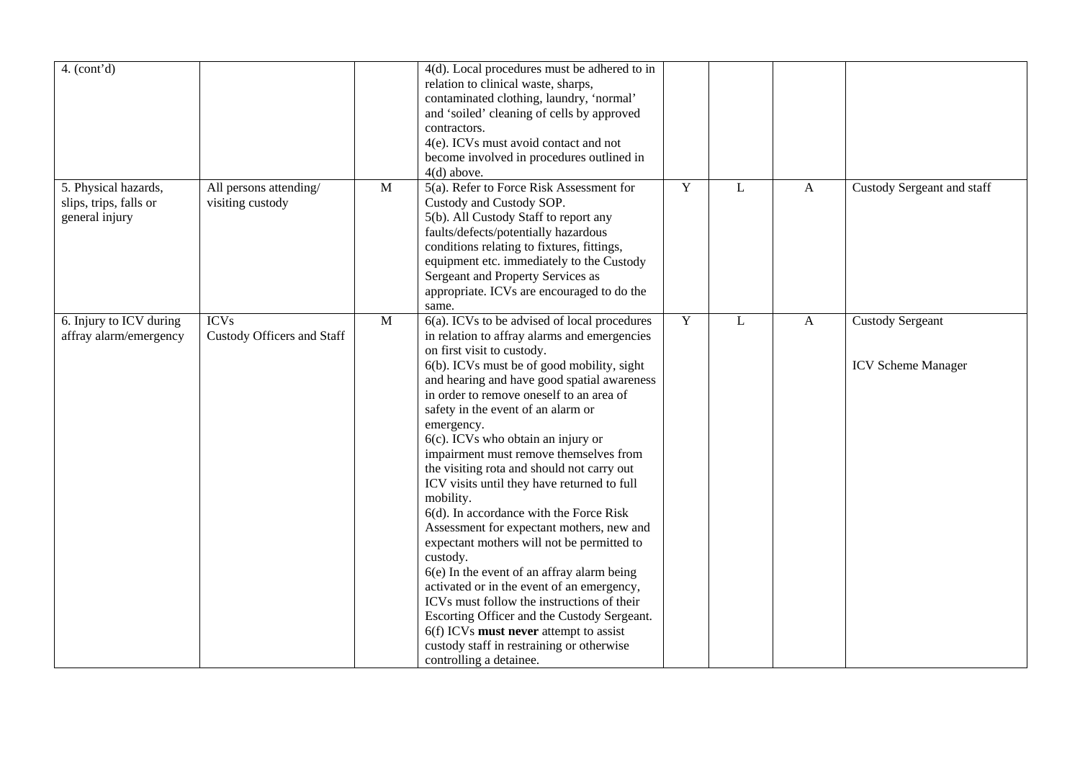| 4. (cont'd)                                                      |                                            |              | 4(d). Local procedures must be adhered to in<br>relation to clinical waste, sharps,<br>contaminated clothing, laundry, 'normal'<br>and 'soiled' cleaning of cells by approved<br>contractors.<br>4(e). ICVs must avoid contact and not<br>become involved in procedures outlined in<br>$4(d)$ above.                                                                                                                                                                                                                                                                                                                                                                                                                                                                                                                                                                                                                                                                           |             |   |              |                                                      |
|------------------------------------------------------------------|--------------------------------------------|--------------|--------------------------------------------------------------------------------------------------------------------------------------------------------------------------------------------------------------------------------------------------------------------------------------------------------------------------------------------------------------------------------------------------------------------------------------------------------------------------------------------------------------------------------------------------------------------------------------------------------------------------------------------------------------------------------------------------------------------------------------------------------------------------------------------------------------------------------------------------------------------------------------------------------------------------------------------------------------------------------|-------------|---|--------------|------------------------------------------------------|
| 5. Physical hazards,<br>slips, trips, falls or<br>general injury | All persons attending/<br>visiting custody | $\mathbf{M}$ | 5(a). Refer to Force Risk Assessment for<br>Custody and Custody SOP.<br>5(b). All Custody Staff to report any<br>faults/defects/potentially hazardous<br>conditions relating to fixtures, fittings,<br>equipment etc. immediately to the Custody<br>Sergeant and Property Services as<br>appropriate. ICVs are encouraged to do the<br>same.                                                                                                                                                                                                                                                                                                                                                                                                                                                                                                                                                                                                                                   | $\mathbf Y$ | L | $\mathbf{A}$ | Custody Sergeant and staff                           |
| 6. Injury to ICV during<br>affray alarm/emergency                | <b>ICVs</b><br>Custody Officers and Staff  | $\mathbf{M}$ | 6(a). ICVs to be advised of local procedures<br>in relation to affray alarms and emergencies<br>on first visit to custody.<br>6(b). ICVs must be of good mobility, sight<br>and hearing and have good spatial awareness<br>in order to remove oneself to an area of<br>safety in the event of an alarm or<br>emergency.<br>6(c). ICVs who obtain an injury or<br>impairment must remove themselves from<br>the visiting rota and should not carry out<br>ICV visits until they have returned to full<br>mobility.<br>6(d). In accordance with the Force Risk<br>Assessment for expectant mothers, new and<br>expectant mothers will not be permitted to<br>custody.<br>6(e) In the event of an affray alarm being<br>activated or in the event of an emergency,<br>ICVs must follow the instructions of their<br>Escorting Officer and the Custody Sergeant.<br>6(f) ICVs must never attempt to assist<br>custody staff in restraining or otherwise<br>controlling a detainee. | $\mathbf Y$ | L | $\mathbf{A}$ | <b>Custody Sergeant</b><br><b>ICV Scheme Manager</b> |